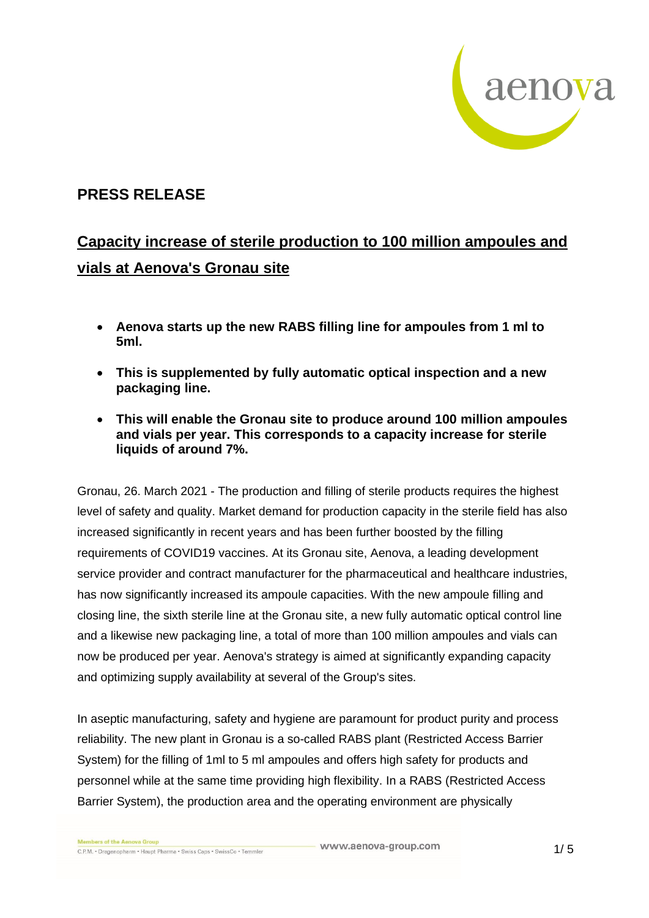

## **PRESS RELEASE**

## **Capacity increase of sterile production to 100 million ampoules and vials at Aenova's Gronau site**

- **Aenova starts up the new RABS filling line for ampoules from 1 ml to 5ml.**
- **This is supplemented by fully automatic optical inspection and a new packaging line.**
- **This will enable the Gronau site to produce around 100 million ampoules and vials per year. This corresponds to a capacity increase for sterile liquids of around 7%.**

Gronau, 26. March 2021 - The production and filling of sterile products requires the highest level of safety and quality. Market demand for production capacity in the sterile field has also increased significantly in recent years and has been further boosted by the filling requirements of COVID19 vaccines. At its Gronau site, Aenova, a leading development service provider and contract manufacturer for the pharmaceutical and healthcare industries, has now significantly increased its ampoule capacities. With the new ampoule filling and closing line, the sixth sterile line at the Gronau site, a new fully automatic optical control line and a likewise new packaging line, a total of more than 100 million ampoules and vials can now be produced per year. Aenova's strategy is aimed at significantly expanding capacity and optimizing supply availability at several of the Group's sites.

In aseptic manufacturing, safety and hygiene are paramount for product purity and process reliability. The new plant in Gronau is a so-called RABS plant (Restricted Access Barrier System) for the filling of 1ml to 5 ml ampoules and offers high safety for products and personnel while at the same time providing high flexibility. In a RABS (Restricted Access Barrier System), the production area and the operating environment are physically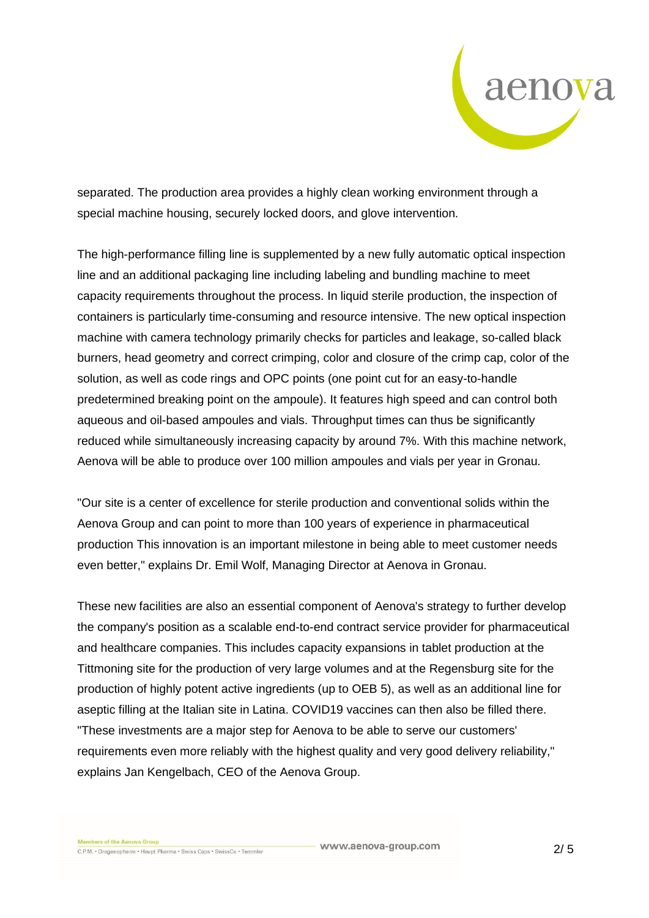

separated. The production area provides a highly clean working environment through a special machine housing, securely locked doors, and glove intervention.

The high-performance filling line is supplemented by a new fully automatic optical inspection line and an additional packaging line including labeling and bundling machine to meet capacity requirements throughout the process. In liquid sterile production, the inspection of containers is particularly time-consuming and resource intensive. The new optical inspection machine with camera technology primarily checks for particles and leakage, so-called black burners, head geometry and correct crimping, color and closure of the crimp cap, color of the solution, as well as code rings and OPC points (one point cut for an easy-to-handle predetermined breaking point on the ampoule). It features high speed and can control both aqueous and oil-based ampoules and vials. Throughput times can thus be significantly reduced while simultaneously increasing capacity by around 7%. With this machine network, Aenova will be able to produce over 100 million ampoules and vials per year in Gronau.

"Our site is a center of excellence for sterile production and conventional solids within the Aenova Group and can point to more than 100 years of experience in pharmaceutical production This innovation is an important milestone in being able to meet customer needs even better," explains Dr. Emil Wolf, Managing Director at Aenova in Gronau.

These new facilities are also an essential component of Aenova's strategy to further develop the company's position as a scalable end-to-end contract service provider for pharmaceutical and healthcare companies. This includes capacity expansions in tablet production at the Tittmoning site for the production of very large volumes and at the Regensburg site for the production of highly potent active ingredients (up to OEB 5), as well as an additional line for aseptic filling at the Italian site in Latina. COVID19 vaccines can then also be filled there. "These investments are a major step for Aenova to be able to serve our customers' requirements even more reliably with the highest quality and very good delivery reliability," explains Jan Kengelbach, CEO of the Aenova Group.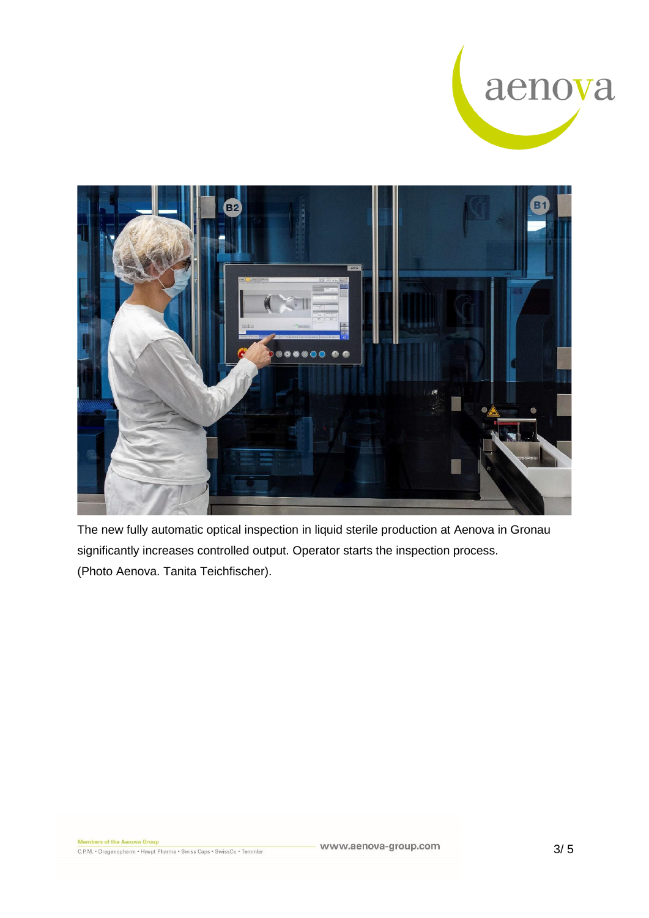



The new fully automatic optical inspection in liquid sterile production at Aenova in Gronau significantly increases controlled output. Operator starts the inspection process. (Photo Aenova. Tanita Teichfischer).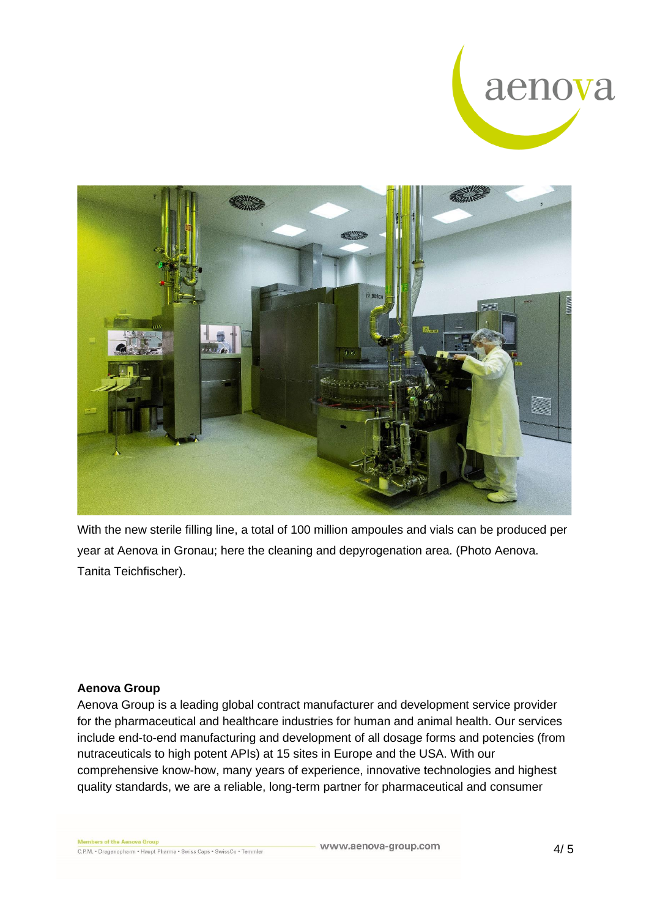



With the new sterile filling line, a total of 100 million ampoules and vials can be produced per year at Aenova in Gronau; here the cleaning and depyrogenation area. (Photo Aenova. Tanita Teichfischer).

## **Aenova Group**

Aenova Group is a leading global contract manufacturer and development service provider for the pharmaceutical and healthcare industries for human and animal health. Our services include end-to-end manufacturing and development of all dosage forms and potencies (from nutraceuticals to high potent APIs) at 15 sites in Europe and the USA. With our comprehensive know-how, many years of experience, innovative technologies and highest quality standards, we are a reliable, long-term partner for pharmaceutical and consumer